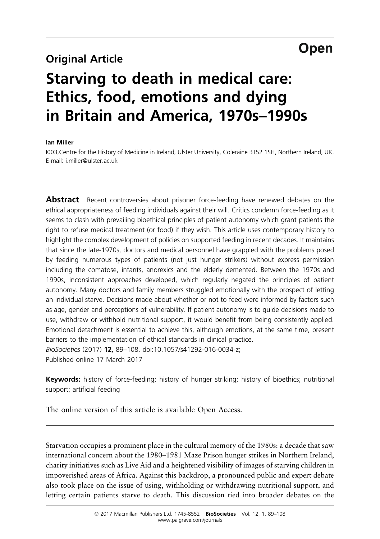## Original Article

## Open

# Starving to death in medical care: Ethics, food, emotions and dying in Britain and America, 1970s–1990s

#### Ian Miller

I003,Centre for the History of Medicine in Ireland, Ulster University, Coleraine BT52 1SH, Northern Ireland, UK. E-mail: i.miller@ulster.ac.uk

**Abstract** Recent controversies about prisoner force-feeding have renewed debates on the ethical appropriateness of feeding individuals against their will. Critics condemn force-feeding as it seems to clash with prevailing bioethical principles of patient autonomy which grant patients the right to refuse medical treatment (or food) if they wish. This article uses contemporary history to highlight the complex development of policies on supported feeding in recent decades. It maintains that since the late-1970s, doctors and medical personnel have grappled with the problems posed by feeding numerous types of patients (not just hunger strikers) without express permission including the comatose, infants, anorexics and the elderly demented. Between the 1970s and 1990s, inconsistent approaches developed, which regularly negated the principles of patient autonomy. Many doctors and family members struggled emotionally with the prospect of letting an individual starve. Decisions made about whether or not to feed were informed by factors such as age, gender and perceptions of vulnerability. If patient autonomy is to guide decisions made to use, withdraw or withhold nutritional support, it would benefit from being consistently applied. Emotional detachment is essential to achieve this, although emotions, at the same time, present barriers to the implementation of ethical standards in clinical practice. BioSocieties (2017) 12, 89–108. doi:10.1057/s41292-016-0034-z; Published online 17 March 2017

Keywords: history of force-feeding; history of hunger striking; history of bioethics; nutritional support; artificial feeding

The online version of this article is available Open Access.

Starvation occupies a prominent place in the cultural memory of the 1980s: a decade that saw international concern about the 1980–1981 Maze Prison hunger strikes in Northern Ireland, charity initiatives such as Live Aid and a heightened visibility of images of starving children in impoverished areas of Africa. Against this backdrop, a pronounced public and expert debate also took place on the issue of using, withholding or withdrawing nutritional support, and letting certain patients starve to death. This discussion tied into broader debates on the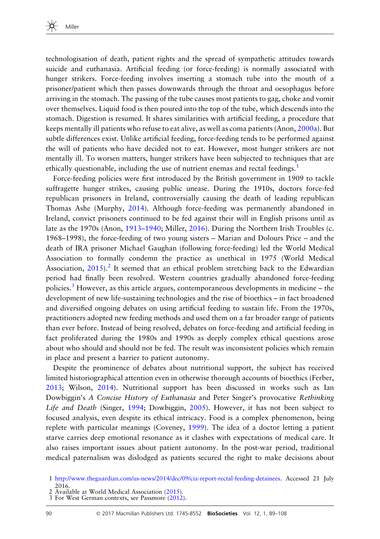technologisation of death, patient rights and the spread of sympathetic attitudes towards suicide and euthanasia. Artificial feeding (or force-feeding) is normally associated with hunger strikers. Force-feeding involves inserting a stomach tube into the mouth of a prisoner/patient which then passes downwards through the throat and oesophagus before arriving in the stomach. The passing of the tube causes most patients to gag, choke and vomit over themselves. Liquid food is then poured into the top of the tube, which descends into the stomach. Digestion is resumed. It shares similarities with artificial feeding, a procedure that keeps mentally ill patients who refuse to eat alive, as well as coma patients (Anon, [2000a\)](#page-16-0). But subtle differences exist. Unlike artificial feeding, force-feeding tends to be performed against the will of patients who have decided not to eat. However, most hunger strikers are not mentally ill. To worsen matters, hunger strikers have been subjected to techniques that are ethically questionable, including the use of nutrient enemas and rectal feedings.<sup>1</sup>

Force-feeding policies were first introduced by the British government in 1909 to tackle suffragette hunger strikes, causing public unease. During the 1910s, doctors force-fed republican prisoners in Ireland, controversially causing the death of leading republican Thomas Ashe (Murphy, [2014](#page-18-0)). Although force-feeding was permanently abandoned in Ireland, convict prisoners continued to be fed against their will in English prisons until as late as the 1970s (Anon, [1913–1940](#page-16-0); Miller, [2016](#page-18-0)). During the Northern Irish Troubles (c. 1968–1998), the force-feeding of two young sisters – Marian and Dolours Price – and the death of IRA prisoner Michael Gaughan (following force-feeding) led the World Medical Association to formally condemn the practice as unethical in 1975 (World Medical Association,  $2015$ .<sup>2</sup> It seemed that an ethical problem stretching back to the Edwardian period had finally been resolved. Western countries gradually abandoned force-feeding policies.<sup>3</sup> However, as this article argues, contemporaneous developments in medicine – the development of new life-sustaining technologies and the rise of bioethics – in fact broadened and diversified ongoing debates on using artificial feeding to sustain life. From the 1970s, practitioners adopted new feeding methods and used them on a far broader range of patients than ever before. Instead of being resolved, debates on force-feeding and artificial feeding in fact proliferated during the 1980s and 1990s as deeply complex ethical questions arose about who should and should not be fed. The result was inconsistent policies which remain in place and present a barrier to patient autonomy.

Despite the prominence of debates about nutritional support, the subject has received limited historiographical attention even in otherwise thorough accounts of bioethics (Ferber, [2013](#page-17-0); Wilson, [2014](#page-19-0)). Nutritional support has been discussed in works such as Ian Dowbiggin's A Concise History of Euthanasia and Peter Singer's provocative Rethinking Life and Death (Singer, [1994;](#page-19-0) Dowbiggin, [2005](#page-17-0)). However, it has not been subject to focused analysis, even despite its ethical intricacy. Food is a complex phenomenon, being replete with particular meanings (Coveney, [1999](#page-17-0)). The idea of a doctor letting a patient starve carries deep emotional resonance as it clashes with expectations of medical care. It also raises important issues about patient autonomy. In the post-war period, traditional medical paternalism was dislodged as patients secured the right to make decisions about

<sup>1</sup> [http://www.theguardian.com/us-news/2014/dec/09/cia-report-rectal-feeding-detainees.](http://www.theguardian.com/us-news/2014/dec/09/cia-report-rectal-feeding-detainees) Accessed 21 July 2016.

<sup>2</sup> Available at World Medical Association ([2015](#page-19-0)).

<sup>3</sup> For West German contexts, see Passmore [\(2012\)](#page-18-0).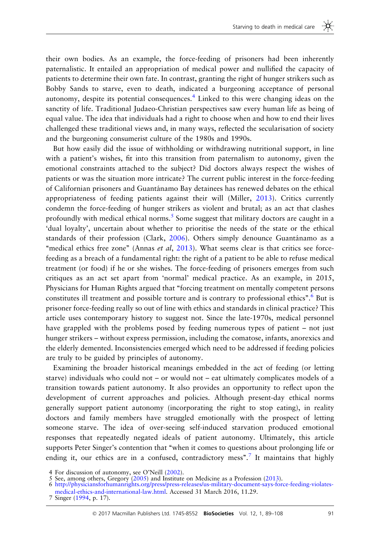their own bodies. As an example, the force-feeding of prisoners had been inherently paternalistic. It entailed an appropriation of medical power and nullified the capacity of patients to determine their own fate. In contrast, granting the right of hunger strikers such as Bobby Sands to starve, even to death, indicated a burgeoning acceptance of personal autonomy, despite its potential consequences.<sup>4</sup> Linked to this were changing ideas on the sanctity of life. Traditional Judaeo-Christian perspectives saw every human life as being of equal value. The idea that individuals had a right to choose when and how to end their lives challenged these traditional views and, in many ways, reflected the secularisation of society and the burgeoning consumerist culture of the 1980s and 1990s.

But how easily did the issue of withholding or withdrawing nutritional support, in line with a patient's wishes, fit into this transition from paternalism to autonomy, given the emotional constraints attached to the subject? Did doctors always respect the wishes of patients or was the situation more intricate? The current public interest in the force-feeding of Californian prisoners and Guanta´namo Bay detainees has renewed debates on the ethical appropriateness of feeding patients against their will (Miller, [2013](#page-18-0)). Critics currently condemn the force-feeding of hunger strikers as violent and brutal; as an act that clashes profoundly with medical ethical norms.<sup>5</sup> Some suggest that military doctors are caught in a 'dual loyalty', uncertain about whether to prioritise the needs of the state or the ethical standards of their profession (Clark,  $2006$ ). Others simply denounce Guantánamo as a "medical ethics free zone" (Annas *et al.* [2013\)](#page-16-0). What seems clear is that critics see forcefeeding as a breach of a fundamental right: the right of a patient to be able to refuse medical treatment (or food) if he or she wishes. The force-feeding of prisoners emerges from such critiques as an act set apart from 'normal' medical practice. As an example, in 2015, Physicians for Human Rights argued that ''forcing treatment on mentally competent persons constitutes ill treatment and possible torture and is contrary to professional ethics''.6 But is prisoner force-feeding really so out of line with ethics and standards in clinical practice? This article uses contemporary history to suggest not. Since the late-1970s, medical personnel have grappled with the problems posed by feeding numerous types of patient – not just hunger strikers – without express permission, including the comatose, infants, anorexics and the elderly demented. Inconsistencies emerged which need to be addressed if feeding policies are truly to be guided by principles of autonomy.

Examining the broader historical meanings embedded in the act of feeding (or letting starve) individuals who could not – or would not – eat ultimately complicates models of a transition towards patient autonomy. It also provides an opportunity to reflect upon the development of current approaches and policies. Although present-day ethical norms generally support patient autonomy (incorporating the right to stop eating), in reality doctors and family members have struggled emotionally with the prospect of letting someone starve. The idea of over-seeing self-induced starvation produced emotional responses that repeatedly negated ideals of patient autonomy. Ultimately, this article supports Peter Singer's contention that "when it comes to questions about prolonging life or ending it, our ethics are in a confused, contradictory mess". It maintains that highly

<sup>4</sup> For discussion of autonomy, see O'Neill ([2002](#page-18-0)).

<sup>5</sup> See, among others, Gregory ([2005](#page-18-0)) and Institute on Medicine as a Profession ([2013](#page-18-0)). 6 [http://physiciansforhumanrights.org/press/press-releases/us-military-document-says-force-feeding-violates-](http://physiciansforhumanrights.org/press/press-releases/us-military-document-says-force-feeding-violates-medical-ethics-and-international-law.html)

[medical-ethics-and-international-law.html](http://physiciansforhumanrights.org/press/press-releases/us-military-document-says-force-feeding-violates-medical-ethics-and-international-law.html). Accessed 31 March 2016, 11.29.

<sup>7</sup> Singer ([1994](#page-19-0), p. 17).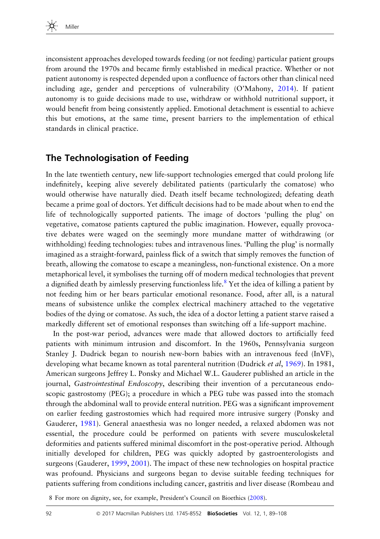inconsistent approaches developed towards feeding (or not feeding) particular patient groups from around the 1970s and became firmly established in medical practice. Whether or not patient autonomy is respected depended upon a confluence of factors other than clinical need including age, gender and perceptions of vulnerability (O'Mahony, [2014](#page-18-0)). If patient autonomy is to guide decisions made to use, withdraw or withhold nutritional support, it would benefit from being consistently applied. Emotional detachment is essential to achieve this but emotions, at the same time, present barriers to the implementation of ethical standards in clinical practice.

#### The Technologisation of Feeding

In the late twentieth century, new life-support technologies emerged that could prolong life indefinitely, keeping alive severely debilitated patients (particularly the comatose) who would otherwise have naturally died. Death itself became technologized; defeating death became a prime goal of doctors. Yet difficult decisions had to be made about when to end the life of technologically supported patients. The image of doctors 'pulling the plug' on vegetative, comatose patients captured the public imagination. However, equally provocative debates were waged on the seemingly more mundane matter of withdrawing (or withholding) feeding technologies: tubes and intravenous lines. 'Pulling the plug' is normally imagined as a straight-forward, painless flick of a switch that simply removes the function of breath, allowing the comatose to escape a meaningless, non-functional existence. On a more metaphorical level, it symbolises the turning off of modern medical technologies that prevent a dignified death by aimlessly preserving functionless life.<sup>8</sup> Yet the idea of killing a patient by not feeding him or her bears particular emotional resonance. Food, after all, is a natural means of subsistence unlike the complex electrical machinery attached to the vegetative bodies of the dying or comatose. As such, the idea of a doctor letting a patient starve raised a markedly different set of emotional responses than switching off a life-support machine.

In the post-war period, advances were made that allowed doctors to artificially feed patients with minimum intrusion and discomfort. In the 1960s, Pennsylvania surgeon Stanley J. Dudrick began to nourish new-born babies with an intravenous feed (InVF), developing what became known as total parenteral nutrition (Dudrick et al, [1969\)](#page-17-0). In 1981, American surgeons Jeffrey L. Ponsky and Michael W.L. Gauderer published an article in the journal, *Gastrointestinal Endoscopy*, describing their invention of a percutaneous endoscopic gastrostomy (PEG); a procedure in which a PEG tube was passed into the stomach through the abdominal wall to provide enteral nutrition. PEG was a significant improvement on earlier feeding gastrostomies which had required more intrusive surgery (Ponsky and Gauderer, [1981](#page-18-0)). General anaesthesia was no longer needed, a relaxed abdomen was not essential, the procedure could be performed on patients with severe musculoskeletal deformities and patients suffered minimal discomfort in the post-operative period. Although initially developed for children, PEG was quickly adopted by gastroenterologists and surgeons (Gauderer, [1999](#page-17-0), [2001\)](#page-17-0). The impact of these new technologies on hospital practice was profound. Physicians and surgeons began to devise suitable feeding techniques for patients suffering from conditions including cancer, gastritis and liver disease (Rombeau and

<sup>8</sup> For more on dignity, see, for example, President's Council on Bioethics [\(2008\)](#page-18-0).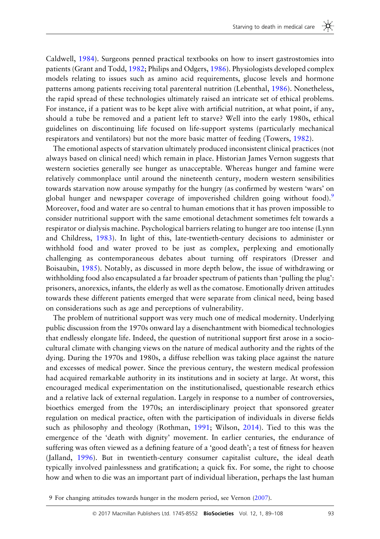Caldwell, [1984\)](#page-19-0). Surgeons penned practical textbooks on how to insert gastrostomies into patients (Grant and Todd, [1982;](#page-17-0) Philips and Odgers, [1986\)](#page-18-0). Physiologists developed complex models relating to issues such as amino acid requirements, glucose levels and hormone patterns among patients receiving total parenteral nutrition (Lebenthal, [1986](#page-18-0)). Nonetheless, the rapid spread of these technologies ultimately raised an intricate set of ethical problems. For instance, if a patient was to be kept alive with artificial nutrition, at what point, if any, should a tube be removed and a patient left to starve? Well into the early 1980s, ethical guidelines on discontinuing life focused on life-support systems (particularly mechanical respirators and ventilators) but not the more basic matter of feeding (Towers, [1982\)](#page-19-0).

The emotional aspects of starvation ultimately produced inconsistent clinical practices (not always based on clinical need) which remain in place. Historian James Vernon suggests that western societies generally see hunger as unacceptable. Whereas hunger and famine were relatively commonplace until around the nineteenth century, modern western sensibilities towards starvation now arouse sympathy for the hungry (as confirmed by western 'wars' on global hunger and newspaper coverage of impoverished children going without food).<sup>9</sup> Moreover, food and water are so central to human emotions that it has proven impossible to consider nutritional support with the same emotional detachment sometimes felt towards a respirator or dialysis machine. Psychological barriers relating to hunger are too intense (Lynn and Childress, [1983\)](#page-18-0). In light of this, late-twentieth-century decisions to administer or withhold food and water proved to be just as complex, perplexing and emotionally challenging as contemporaneous debates about turning off respirators (Dresser and Boisaubin, [1985\)](#page-17-0). Notably, as discussed in more depth below, the issue of withdrawing or withholding food also encapsulated a far broader spectrum of patients than 'pulling the plug': prisoners, anorexics, infants, the elderly as well as the comatose. Emotionally driven attitudes towards these different patients emerged that were separate from clinical need, being based on considerations such as age and perceptions of vulnerability.

The problem of nutritional support was very much one of medical modernity. Underlying public discussion from the 1970s onward lay a disenchantment with biomedical technologies that endlessly elongate life. Indeed, the question of nutritional support first arose in a sociocultural climate with changing views on the nature of medical authority and the rights of the dying. During the 1970s and 1980s, a diffuse rebellion was taking place against the nature and excesses of medical power. Since the previous century, the western medical profession had acquired remarkable authority in its institutions and in society at large. At worst, this encouraged medical experimentation on the institutionalised, questionable research ethics and a relative lack of external regulation. Largely in response to a number of controversies, bioethics emerged from the 1970s; an interdisciplinary project that sponsored greater regulation on medical practice, often with the participation of individuals in diverse fields such as philosophy and theology (Rothman, [1991;](#page-19-0) Wilson, [2014](#page-19-0)). Tied to this was the emergence of the 'death with dignity' movement. In earlier centuries, the endurance of suffering was often viewed as a defining feature of a 'good death'; a test of fitness for heaven (Jalland, [1996\)](#page-18-0). But in twentieth-century consumer capitalist culture, the ideal death typically involved painlessness and gratification; a quick fix. For some, the right to choose how and when to die was an important part of individual liberation, perhaps the last human

<sup>9</sup> For changing attitudes towards hunger in the modern period, see Vernon ([2007](#page-19-0)).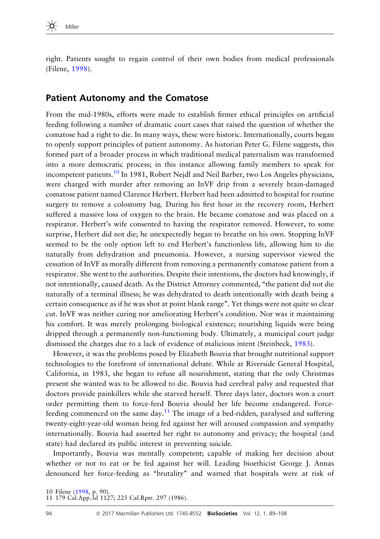right. Patients sought to regain control of their own bodies from medical professionals (Filene, [1998\)](#page-17-0).

#### Patient Autonomy and the Comatose

From the mid-1980s, efforts were made to establish firmer ethical principles on artificial feeding following a number of dramatic court cases that raised the question of whether the comatose had a right to die. In many ways, these were historic. Internationally, courts began to openly support principles of patient autonomy. As historian Peter G. Filene suggests, this formed part of a broader process in which traditional medical paternalism was transformed into a more democratic process; in this instance allowing family members to speak for incompetent patients.<sup>10</sup> In 1981, Robert Nejdl and Neil Barber, two Los Angeles physicians, were charged with murder after removing an InVF drip from a severely brain-damaged comatose patient named Clarence Herbert. Herbert had been admitted to hospital for routine surgery to remove a colostomy bag. During his first hour in the recovery room, Herbert suffered a massive loss of oxygen to the brain. He became comatose and was placed on a respirator. Herbert's wife consented to having the respirator removed. However, to some surprise, Herbert did not die; he unexpectedly began to breathe on his own. Stopping InVF seemed to be the only option left to end Herbert's functionless life, allowing him to die naturally from dehydration and pneumonia. However, a nursing supervisor viewed the cessation of InVF as morally different from removing a permanently comatose patient from a respirator. She went to the authorities. Despite their intentions, the doctors had knowingly, if not intentionally, caused death. As the District Attorney commented, ''the patient did not die naturally of a terminal illness; he was dehydrated to death intentionally with death being a certain consequence as if he was shot at point blank range''. Yet things were not quite so clear cut. InVF was neither curing nor ameliorating Herbert's condition. Nor was it maintaining his comfort. It was merely prolonging biological existence; nourishing liquids were being dripped through a permanently non-functioning body. Ultimately, a municipal court judge dismissed the charges due to a lack of evidence of malicious intent (Steinbeck, [1983\)](#page-19-0).

However, it was the problems posed by Elizabeth Bouvia that brought nutritional support technologies to the forefront of international debate. While at Riverside General Hospital, California, in 1983, she began to refuse all nourishment, stating that the only Christmas present she wanted was to be allowed to die. Bouvia had cerebral palsy and requested that doctors provide painkillers while she starved herself. Three days later, doctors won a court order permitting them to force-feed Bouvia should her life become endangered. Forcefeeding commenced on the same day.<sup>11</sup> The image of a bed-ridden, paralysed and suffering twenty-eight-year-old woman being fed against her will aroused compassion and sympathy internationally. Bouvia had asserted her right to autonomy and privacy; the hospital (and state) had declared its public interest in preventing suicide.

Importantly, Bouvia was mentally competent; capable of making her decision about whether or not to eat or be fed against her will. Leading bioethicist George J. Annas denounced her force-feeding as ''brutality'' and warned that hospitals were at risk of

<sup>10</sup> Filene [\(1998,](#page-17-0) p. 90). 11 179 Cal.App.3d 1127; 225 Cal.Rptr. 297 (1986).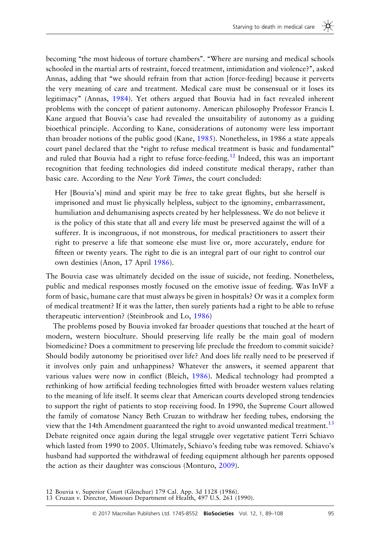becoming ''the most hideous of torture chambers''. ''Where are nursing and medical schools schooled in the martial arts of restraint, forced treatment, intimidation and violence?'', asked Annas, adding that ''we should refrain from that action [force-feeding] because it perverts the very meaning of care and treatment. Medical care must be consensual or it loses its legitimacy'' (Annas, [1984\)](#page-16-0). Yet others argued that Bouvia had in fact revealed inherent problems with the concept of patient autonomy. American philosophy Professor Francis I. Kane argued that Bouvia's case had revealed the unsuitability of autonomy as a guiding bioethical principle. According to Kane, considerations of autonomy were less important than broader notions of the public good (Kane, [1985](#page-18-0)). Nonetheless, in 1986 a state appeals court panel declared that the "right to refuse medical treatment is basic and fundamental" and ruled that Bouvia had a right to refuse force-feeding.<sup>12</sup> Indeed, this was an important recognition that feeding technologies did indeed constitute medical therapy, rather than basic care. According to the New York Times, the court concluded:

Her [Bouvia's] mind and spirit may be free to take great flights, but she herself is imprisoned and must lie physically helpless, subject to the ignominy, embarrassment, humiliation and dehumanising aspects created by her helplessness. We do not believe it is the policy of this state that all and every life must be preserved against the will of a sufferer. It is incongruous, if not monstrous, for medical practitioners to assert their right to preserve a life that someone else must live or, more accurately, endure for fifteen or twenty years. The right to die is an integral part of our right to control our own destinies (Anon, 17 April [1986](#page-16-0)).

The Bouvia case was ultimately decided on the issue of suicide, not feeding. Nonetheless, public and medical responses mostly focused on the emotive issue of feeding. Was InVF a form of basic, humane care that must always be given in hospitals? Or was it a complex form of medical treatment? If it was the latter, then surely patients had a right to be able to refuse therapeutic intervention? (Steinbrook and Lo, [1986](#page-19-0))

The problems posed by Bouvia invoked far broader questions that touched at the heart of modern, western bioculture. Should preserving life really be the main goal of modern biomedicine? Does a commitment to preserving life preclude the freedom to commit suicide? Should bodily autonomy be prioritised over life? And does life really need to be preserved if it involves only pain and unhappiness? Whatever the answers, it seemed apparent that various values were now in conflict (Bleich, [1986\)](#page-17-0). Medical technology had prompted a rethinking of how artificial feeding technologies fitted with broader western values relating to the meaning of life itself. It seems clear that American courts developed strong tendencies to support the right of patients to stop receiving food. In 1990, the Supreme Court allowed the family of comatose Nancy Beth Cruzan to withdraw her feeding tubes, endorsing the view that the 14th Amendment guaranteed the right to avoid unwanted medical treatment.<sup>13</sup> Debate reignited once again during the legal struggle over vegetative patient Terri Schiavo which lasted from 1990 to 2005. Ultimately, Schiavo's feeding tube was removed. Schiavo's husband had supported the withdrawal of feeding equipment although her parents opposed the action as their daughter was conscious (Monturo, [2009](#page-18-0)).

<sup>12</sup> Bouvia v. Superior Court (Glenchur) 179 Cal. App. 3d 1128 (1986).

<sup>13</sup> Cruzan v. Director, Missouri Department of Health, 497 U.S. 261 (1990).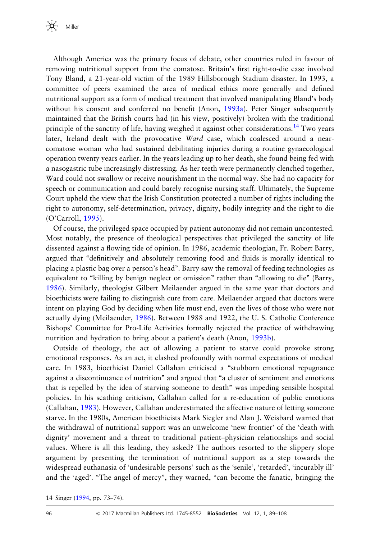Although America was the primary focus of debate, other countries ruled in favour of removing nutritional support from the comatose. Britain's first right-to-die case involved Tony Bland, a 21-year-old victim of the 1989 Hillsborough Stadium disaster. In 1993, a committee of peers examined the area of medical ethics more generally and defined nutritional support as a form of medical treatment that involved manipulating Bland's body without his consent and conferred no benefit (Anon, [1993a](#page-16-0)). Peter Singer subsequently maintained that the British courts had (in his view, positively) broken with the traditional principle of the sanctity of life, having weighed it against other considerations.<sup>14</sup> Two years later, Ireland dealt with the provocative Ward case, which coalesced around a nearcomatose woman who had sustained debilitating injuries during a routine gynaecological operation twenty years earlier. In the years leading up to her death, she found being fed with a nasogastric tube increasingly distressing. As her teeth were permanently clenched together, Ward could not swallow or receive nourishment in the normal way. She had no capacity for speech or communication and could barely recognise nursing staff. Ultimately, the Supreme Court upheld the view that the Irish Constitution protected a number of rights including the right to autonomy, self-determination, privacy, dignity, bodily integrity and the right to die (O'Carroll, [1995](#page-18-0)).

Of course, the privileged space occupied by patient autonomy did not remain uncontested. Most notably, the presence of theological perspectives that privileged the sanctity of life dissented against a flowing tide of opinion. In 1986, academic theologian, Fr. Robert Barry, argued that ''definitively and absolutely removing food and fluids is morally identical to placing a plastic bag over a person's head''. Barry saw the removal of feeding technologies as equivalent to "killing by benign neglect or omission" rather than "allowing to die" (Barry, [1986](#page-17-0)). Similarly, theologist Gilbert Meilaender argued in the same year that doctors and bioethicists were failing to distinguish cure from care. Meilaender argued that doctors were intent on playing God by deciding when life must end, even the lives of those who were not actually dying (Meilaender, [1986](#page-18-0)). Between 1988 and 1922, the U. S. Catholic Conference Bishops' Committee for Pro-Life Activities formally rejected the practice of withdrawing nutrition and hydration to bring about a patient's death (Anon, [1993b](#page-16-0)).

Outside of theology, the act of allowing a patient to starve could provoke strong emotional responses. As an act, it clashed profoundly with normal expectations of medical care. In 1983, bioethicist Daniel Callahan criticised a ''stubborn emotional repugnance against a discontinuance of nutrition" and argued that "a cluster of sentiment and emotions that is repelled by the idea of starving someone to death'' was impeding sensible hospital policies. In his scathing criticism, Callahan called for a re-education of public emotions (Callahan, [1983](#page-17-0)). However, Callahan underestimated the affective nature of letting someone starve. In the 1980s, American bioethicists Mark Siegler and Alan J. Weisbard warned that the withdrawal of nutritional support was an unwelcome 'new frontier' of the 'death with dignity' movement and a threat to traditional patient–physician relationships and social values. Where is all this leading, they asked? The authors resorted to the slippery slope argument by presenting the termination of nutritional support as a step towards the widespread euthanasia of 'undesirable persons' such as the 'senile', 'retarded', 'incurably ill' and the 'aged'. "The angel of mercy", they warned, "can become the fanatic, bringing the

14 Singer [\(1994,](#page-19-0) pp. 73–74).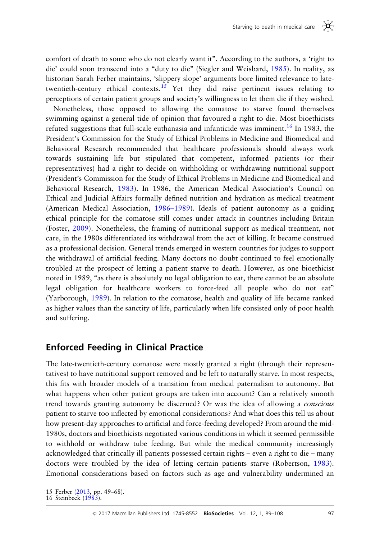comfort of death to some who do not clearly want it''. According to the authors, a 'right to die' could soon transcend into a "duty to die" (Siegler and Weisbard, [1985](#page-19-0)). In reality, as historian Sarah Ferber maintains, 'slippery slope' arguments bore limited relevance to latetwentieth-century ethical contexts.<sup>15</sup> Yet they did raise pertinent issues relating to perceptions of certain patient groups and society's willingness to let them die if they wished.

Nonetheless, those opposed to allowing the comatose to starve found themselves swimming against a general tide of opinion that favoured a right to die. Most bioethicists refuted suggestions that full-scale euthanasia and infanticide was imminent.<sup>16</sup> In 1983, the President's Commission for the Study of Ethical Problems in Medicine and Biomedical and Behavioral Research recommended that healthcare professionals should always work towards sustaining life but stipulated that competent, informed patients (or their representatives) had a right to decide on withholding or withdrawing nutritional support (President's Commission for the Study of Ethical Problems in Medicine and Biomedical and Behavioral Research, [1983\)](#page-18-0). In 1986, the American Medical Association's Council on Ethical and Judicial Affairs formally defined nutrition and hydration as medical treatment (American Medical Association, [1986–1989\)](#page-16-0). Ideals of patient autonomy as a guiding ethical principle for the comatose still comes under attack in countries including Britain (Foster, [2009](#page-17-0)). Nonetheless, the framing of nutritional support as medical treatment, not care, in the 1980s differentiated its withdrawal from the act of killing. It became construed as a professional decision. General trends emerged in western countries for judges to support the withdrawal of artificial feeding. Many doctors no doubt continued to feel emotionally troubled at the prospect of letting a patient starve to death. However, as one bioethicist noted in 1989, "as there is absolutely no legal obligation to eat, there cannot be an absolute legal obligation for healthcare workers to force-feed all people who do not eat'' (Yarborough, [1989](#page-19-0)). In relation to the comatose, health and quality of life became ranked as higher values than the sanctity of life, particularly when life consisted only of poor health and suffering.

### Enforced Feeding in Clinical Practice

The late-twentieth-century comatose were mostly granted a right (through their representatives) to have nutritional support removed and be left to naturally starve. In most respects, this fits with broader models of a transition from medical paternalism to autonomy. But what happens when other patient groups are taken into account? Can a relatively smooth trend towards granting autonomy be discerned? Or was the idea of allowing a conscious patient to starve too inflected by emotional considerations? And what does this tell us about how present-day approaches to artificial and force-feeding developed? From around the mid-1980s, doctors and bioethicists negotiated various conditions in which it seemed permissible to withhold or withdraw tube feeding. But while the medical community increasingly acknowledged that critically ill patients possessed certain rights – even a right to die – many doctors were troubled by the idea of letting certain patients starve (Robertson, [1983\)](#page-19-0). Emotional considerations based on factors such as age and vulnerability undermined an

<sup>15</sup> Ferber [\(2013,](#page-17-0) pp. 49–68). 16 Steinbeck ([1983](#page-19-0)).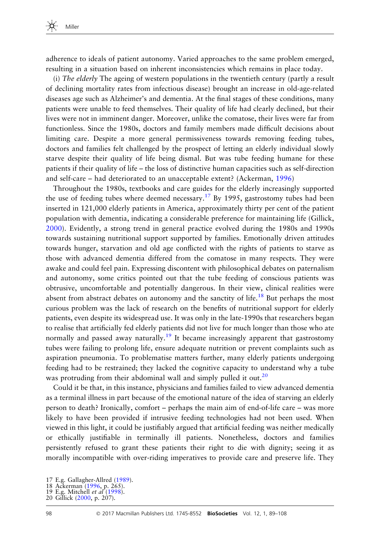adherence to ideals of patient autonomy. Varied approaches to the same problem emerged, resulting in a situation based on inherent inconsistencies which remains in place today.

(i) The elderly The ageing of western populations in the twentieth century (partly a result of declining mortality rates from infectious disease) brought an increase in old-age-related diseases age such as Alzheimer's and dementia. At the final stages of these conditions, many patients were unable to feed themselves. Their quality of life had clearly declined, but their lives were not in imminent danger. Moreover, unlike the comatose, their lives were far from functionless. Since the 1980s, doctors and family members made difficult decisions about limiting care. Despite a more general permissiveness towards removing feeding tubes, doctors and families felt challenged by the prospect of letting an elderly individual slowly starve despite their quality of life being dismal. But was tube feeding humane for these patients if their quality of life – the loss of distinctive human capacities such as self-direction and self-care – had deteriorated to an unacceptable extent? (Ackerman, [1996\)](#page-16-0)

Throughout the 1980s, textbooks and care guides for the elderly increasingly supported the use of feeding tubes where deemed necessary.<sup>17</sup> By 1995, gastrostomy tubes had been inserted in 121,000 elderly patients in America, approximately thirty per cent of the patient population with dementia, indicating a considerable preference for maintaining life (Gillick, [2000](#page-17-0)). Evidently, a strong trend in general practice evolved during the 1980s and 1990s towards sustaining nutritional support supported by families. Emotionally driven attitudes towards hunger, starvation and old age conflicted with the rights of patients to starve as those with advanced dementia differed from the comatose in many respects. They were awake and could feel pain. Expressing discontent with philosophical debates on paternalism and autonomy, some critics pointed out that the tube feeding of conscious patients was obtrusive, uncomfortable and potentially dangerous. In their view, clinical realities were absent from abstract debates on autonomy and the sanctity of life.<sup>18</sup> But perhaps the most curious problem was the lack of research on the benefits of nutritional support for elderly patients, even despite its widespread use. It was only in the late-1990s that researchers began to realise that artificially fed elderly patients did not live for much longer than those who ate normally and passed away naturally.<sup>19</sup> It became increasingly apparent that gastrostomy tubes were failing to prolong life, ensure adequate nutrition or prevent complaints such as aspiration pneumonia. To problematise matters further, many elderly patients undergoing feeding had to be restrained; they lacked the cognitive capacity to understand why a tube was protruding from their abdominal wall and simply pulled it out.<sup>20</sup>

Could it be that, in this instance, physicians and families failed to view advanced dementia as a terminal illness in part because of the emotional nature of the idea of starving an elderly person to death? Ironically, comfort – perhaps the main aim of end-of-life care – was more likely to have been provided if intrusive feeding technologies had not been used. When viewed in this light, it could be justifiably argued that artificial feeding was neither medically or ethically justifiable in terminally ill patients. Nonetheless, doctors and families persistently refused to grant these patients their right to die with dignity; seeing it as morally incompatible with over-riding imperatives to provide care and preserve life. They

<sup>17</sup> E.g. Gallagher-Allred ([1989](#page-17-0)).

<sup>18</sup> Ackerman [\(1996,](#page-16-0) p. 265). 19 E.g. Mitchell et al ([1998](#page-18-0)).

<sup>20</sup> Gillick [\(2000,](#page-17-0) p. 207).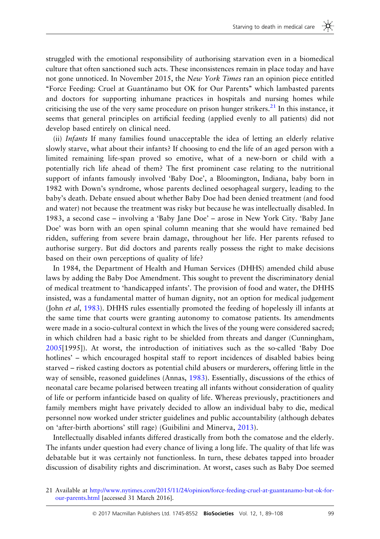struggled with the emotional responsibility of authorising starvation even in a biomedical culture that often sanctioned such acts. These inconsistences remain in place today and have not gone unnoticed. In November 2015, the New York Times ran an opinion piece entitled ''Force Feeding: Cruel at Guanta´namo but OK for Our Parents'' which lambasted parents and doctors for supporting inhumane practices in hospitals and nursing homes while criticising the use of the very same procedure on prison hunger strikers.<sup>21</sup> In this instance, it seems that general principles on artificial feeding (applied evenly to all patients) did not develop based entirely on clinical need.

(ii) Infants If many families found unacceptable the idea of letting an elderly relative slowly starve, what about their infants? If choosing to end the life of an aged person with a limited remaining life-span proved so emotive, what of a new-born or child with a potentially rich life ahead of them? The first prominent case relating to the nutritional support of infants famously involved 'Baby Doe', a Bloomington, Indiana, baby born in 1982 with Down's syndrome, whose parents declined oesophageal surgery, leading to the baby's death. Debate ensued about whether Baby Doe had been denied treatment (and food and water) not because the treatment was risky but because he was intellectually disabled. In 1983, a second case – involving a 'Baby Jane Doe' – arose in New York City. 'Baby Jane Doe' was born with an open spinal column meaning that she would have remained bed ridden, suffering from severe brain damage, throughout her life. Her parents refused to authorise surgery. But did doctors and parents really possess the right to make decisions based on their own perceptions of quality of life?

In 1984, the Department of Health and Human Services (DHHS) amended child abuse laws by adding the Baby Doe Amendment. This sought to prevent the discriminatory denial of medical treatment to 'handicapped infants'. The provision of food and water, the DHHS insisted, was a fundamental matter of human dignity, not an option for medical judgement (John et al, [1983\)](#page-18-0). DHHS rules essentially promoted the feeding of hopelessly ill infants at the same time that courts were granting autonomy to comatose patients. Its amendments were made in a socio-cultural context in which the lives of the young were considered sacred; in which children had a basic right to be shielded from threats and danger (Cunningham, [2005](#page-17-0)[1995]). At worst, the introduction of initiatives such as the so-called 'Baby Doe hotlines' – which encouraged hospital staff to report incidences of disabled babies being starved – risked casting doctors as potential child abusers or murderers, offering little in the way of sensible, reasoned guidelines (Annas, [1983](#page-16-0)). Essentially, discussions of the ethics of neonatal care became polarised between treating all infants without consideration of quality of life or perform infanticide based on quality of life. Whereas previously, practitioners and family members might have privately decided to allow an individual baby to die, medical personnel now worked under stricter guidelines and public accountability (although debates on 'after-birth abortions' still rage) (Guibilini and Minerva, [2013](#page-18-0)).

Intellectually disabled infants differed drastically from both the comatose and the elderly. The infants under question had every chance of living a long life. The quality of that life was debatable but it was certainly not functionless. In turn, these debates tapped into broader discussion of disability rights and discrimination. At worst, cases such as Baby Doe seemed

<sup>21</sup> Available at [http://www.nytimes.com/2015/11/24/opinion/force-feeding-cruel-at-guantanamo-but-ok-for](http://www.nytimes.com/2015/11/24/opinion/force-feeding-cruel-at-guantanamo-but-ok-for-our-parents.html)[our-parents.html](http://www.nytimes.com/2015/11/24/opinion/force-feeding-cruel-at-guantanamo-but-ok-for-our-parents.html) [accessed 31 March 2016].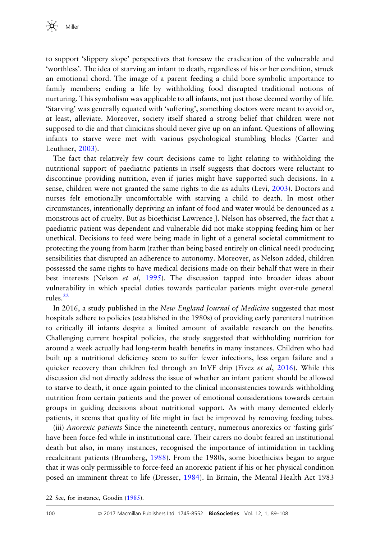to support 'slippery slope' perspectives that foresaw the eradication of the vulnerable and 'worthless'. The idea of starving an infant to death, regardless of his or her condition, struck an emotional chord. The image of a parent feeding a child bore symbolic importance to family members; ending a life by withholding food disrupted traditional notions of nurturing. This symbolism was applicable to all infants, not just those deemed worthy of life. 'Starving' was generally equated with 'suffering', something doctors were meant to avoid or, at least, alleviate. Moreover, society itself shared a strong belief that children were not supposed to die and that clinicians should never give up on an infant. Questions of allowing infants to starve were met with various psychological stumbling blocks (Carter and Leuthner, [2003\)](#page-17-0).

The fact that relatively few court decisions came to light relating to withholding the nutritional support of paediatric patients in itself suggests that doctors were reluctant to discontinue providing nutrition, even if juries might have supported such decisions. In a sense, children were not granted the same rights to die as adults (Levi, [2003](#page-18-0)). Doctors and nurses felt emotionally uncomfortable with starving a child to death. In most other circumstances, intentionally depriving an infant of food and water would be denounced as a monstrous act of cruelty. But as bioethicist Lawrence J. Nelson has observed, the fact that a paediatric patient was dependent and vulnerable did not make stopping feeding him or her unethical. Decisions to feed were being made in light of a general societal commitment to protecting the young from harm (rather than being based entirely on clinical need) producing sensibilities that disrupted an adherence to autonomy. Moreover, as Nelson added, children possessed the same rights to have medical decisions made on their behalf that were in their best interests (Nelson et al, [1995](#page-18-0)). The discussion tapped into broader ideas about vulnerability in which special duties towards particular patients might over-rule general rules.22

In 2016, a study published in the New England Journal of Medicine suggested that most hospitals adhere to policies (established in the 1980s) of providing early parenteral nutrition to critically ill infants despite a limited amount of available research on the benefits. Challenging current hospital policies, the study suggested that withholding nutrition for around a week actually had long-term health benefits in many instances. Children who had built up a nutritional deficiency seem to suffer fewer infections, less organ failure and a quicker recovery than children fed through an InVF drip (Fivez et al, [2016\)](#page-17-0). While this discussion did not directly address the issue of whether an infant patient should be allowed to starve to death, it once again pointed to the clinical inconsistencies towards withholding nutrition from certain patients and the power of emotional considerations towards certain groups in guiding decisions about nutritional support. As with many demented elderly patients, it seems that quality of life might in fact be improved by removing feeding tubes.

(iii) Anorexic patients Since the nineteenth century, numerous anorexics or 'fasting girls' have been force-fed while in institutional care. Their carers no doubt feared an institutional death but also, in many instances, recognised the importance of intimidation in tackling recalcitrant patients (Brumberg, [1988\)](#page-17-0). From the 1980s, some bioethicists began to argue that it was only permissible to force-feed an anorexic patient if his or her physical condition posed an imminent threat to life (Dresser, [1984](#page-17-0)). In Britain, the Mental Health Act 1983

<sup>22</sup> See, for instance, Goodin ([1985](#page-17-0)).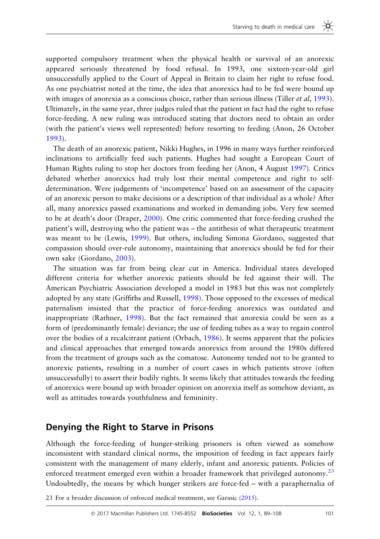supported compulsory treatment when the physical health or survival of an anorexic appeared seriously threatened by food refusal. In 1993, one sixteen-year-old girl unsuccessfully applied to the Court of Appeal in Britain to claim her right to refuse food. As one psychiatrist noted at the time, the idea that anorexics had to be fed were bound up with images of anorexia as a conscious choice, rather than serious illness (Tiller *et al*, [1993\)](#page-19-0). Ultimately, in the same year, three judges ruled that the patient in fact had the right to refuse force-feeding. A new ruling was introduced stating that doctors need to obtain an order (with the patient's views well represented) before resorting to feeding (Anon, 26 October [1993](#page-17-0)).

The death of an anorexic patient, Nikki Hughes, in 1996 in many ways further reinforced inclinations to artificially feed such patients. Hughes had sought a European Court of Human Rights ruling to stop her doctors from feeding her (Anon, 4 August [1997\)](#page-17-0). Critics debated whether anorexics had truly lost their mental competence and right to selfdetermination. Were judgements of 'incompetence' based on an assessment of the capacity of an anorexic person to make decisions or a description of that individual as a whole? After all, many anorexics passed examinations and worked in demanding jobs. Very few seemed to be at death's door (Draper, [2000\)](#page-17-0). One critic commented that force-feeding crushed the patient's will, destroying who the patient was – the antithesis of what therapeutic treatment was meant to be (Lewis, [1999](#page-18-0)). But others, including Simona Giordano, suggested that compassion should over-rule autonomy, maintaining that anorexics should be fed for their own sake (Giordano, [2003\)](#page-17-0).

The situation was far from being clear cut in America. Individual states developed different criteria for whether anorexic patients should be fed against their will. The American Psychiatric Association developed a model in 1983 but this was not completely adopted by any state (Griffiths and Russell, [1998](#page-18-0)). Those opposed to the excesses of medical paternalism insisted that the practice of force-feeding anorexics was outdated and inappropriate (Rathner, [1998\)](#page-19-0). But the fact remained that anorexia could be seen as a form of (predominantly female) deviance; the use of feeding tubes as a way to regain control over the bodies of a recalcitrant patient (Orbach, [1986\)](#page-18-0). It seems apparent that the policies and clinical approaches that emerged towards anorexics from around the 1980s differed from the treatment of groups such as the comatose. Autonomy tended not to be granted to anorexic patients, resulting in a number of court cases in which patients strove (often unsuccessfully) to assert their bodily rights. It seems likely that attitudes towards the feeding of anorexics were bound up with broader opinion on anorexia itself as somehow deviant, as well as attitudes towards youthfulness and femininity.

#### Denying the Right to Starve in Prisons

Although the force-feeding of hunger-striking prisoners is often viewed as somehow inconsistent with standard clinical norms, the imposition of feeding in fact appears fairly consistent with the management of many elderly, infant and anorexic patients. Policies of enforced treatment emerged even within a broader framework that privileged autonomy.<sup>23</sup> Undoubtedly, the means by which hunger strikers are force-fed – with a paraphernalia of

23 For a broader discussion of enforced medical treatment, see Garasic [\(2015\)](#page-17-0).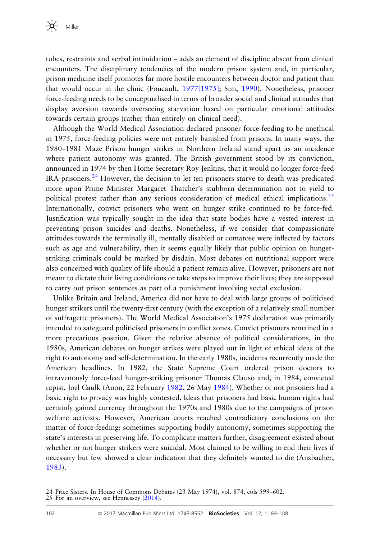tubes, restraints and verbal intimidation – adds an element of discipline absent from clinical encounters. The disciplinary tendencies of the modern prison system and, in particular, prison medicine itself promotes far more hostile encounters between doctor and patient than that would occur in the clinic (Foucault, [1977\[1975\]](#page-17-0); Sim, [1990](#page-19-0)). Nonetheless, prisoner force-feeding needs to be conceptualised in terms of broader social and clinical attitudes that display aversion towards overseeing starvation based on particular emotional attitudes towards certain groups (rather than entirely on clinical need).

Although the World Medical Association declared prisoner force-feeding to be unethical in 1975, force-feeding policies were not entirely banished from prisons. In many ways, the 1980–1981 Maze Prison hunger strikes in Northern Ireland stand apart as an incidence where patient autonomy was granted. The British government stood by its conviction, announced in 1974 by then Home Secretary Roy Jenkins, that it would no longer force-feed IRA prisoners.24 However, the decision to let ten prisoners starve to death was predicated more upon Prime Minister Margaret Thatcher's stubborn determination not to yield to political protest rather than any serious consideration of medical ethical implications.<sup>25</sup> Internationally, convict prisoners who went on hunger strike continued to be force-fed. Justification was typically sought in the idea that state bodies have a vested interest in preventing prison suicides and deaths. Nonetheless, if we consider that compassionate attitudes towards the terminally ill, mentally disabled or comatose were inflected by factors such as age and vulnerability, then it seems equally likely that public opinion on hungerstriking criminals could be marked by disdain. Most debates on nutritional support were also concerned with quality of life should a patient remain alive. However, prisoners are not meant to dictate their living conditions or take steps to improve their lives; they are supposed to carry out prison sentences as part of a punishment involving social exclusion.

Unlike Britain and Ireland, America did not have to deal with large groups of politicised hunger strikers until the twenty-first century (with the exception of a relatively small number of suffragette prisoners). The World Medical Association's 1975 declaration was primarily intended to safeguard politicised prisoners in conflict zones. Convict prisoners remained in a more precarious position. Given the relative absence of political considerations, in the 1980s, American debates on hunger strikes were played out in light of ethical ideas of the right to autonomy and self-determination. In the early 1980s, incidents recurrently made the American headlines. In 1982, the State Supreme Court ordered prison doctors to intravenously force-feed hunger-striking prisoner Thomas Clauso and, in 1984, convicted rapist, Joel Caulk (Anon, 22 February [1982](#page-17-0), 26 May [1984\)](#page-17-0). Whether or not prisoners had a basic right to privacy was highly contested. Ideas that prisoners had basic human rights had certainly gained currency throughout the 1970s and 1980s due to the campaigns of prison welfare activists. However, American courts reached contradictory conclusions on the matter of force-feeding: sometimes supporting bodily autonomy, sometimes supporting the state's interests in preserving life. To complicate matters further, disagreement existed about whether or not hunger strikers were suicidal. Most claimed to be willing to end their lives if necessary but few showed a clear indication that they definitely wanted to die (Ansbacher, [1983](#page-17-0)).

<sup>24</sup> Price Sisters. In House of Commons Debates (23 May 1974), vol. 874, cols 599–602.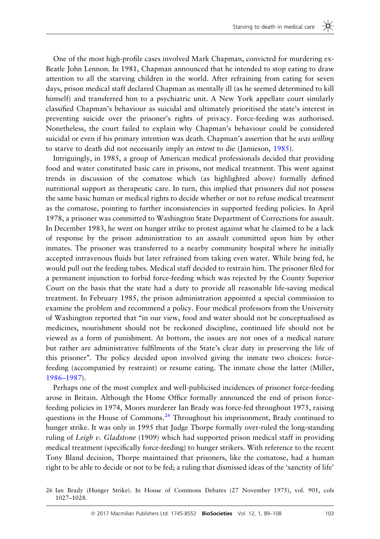One of the most high-profile cases involved Mark Chapman, convicted for murdering ex-Beatle John Lennon. In 1981, Chapman announced that he intended to stop eating to draw attention to all the starving children in the world. After refraining from eating for seven days, prison medical staff declared Chapman as mentally ill (as he seemed determined to kill himself) and transferred him to a psychiatric unit. A New York appellate court similarly classified Chapman's behaviour as suicidal and ultimately prioritised the state's interest in preventing suicide over the prisoner's rights of privacy. Force-feeding was authorised. Nonetheless, the court failed to explain why Chapman's behaviour could be considered suicidal or even if his primary intention was death. Chapman's assertion that he was willing to starve to death did not necessarily imply an intent to die (Jamieson, [1985\)](#page-18-0).

Intriguingly, in 1985, a group of American medical professionals decided that providing food and water constituted basic care in prisons, not medical treatment. This went against trends in discussion of the comatose which (as highlighted above) formally defined nutritional support as therapeutic care. In turn, this implied that prisoners did not possess the same basic human or medical rights to decide whether or not to refuse medical treatment as the comatose, pointing to further inconsistencies in supported feeding policies. In April 1978, a prisoner was committed to Washington State Department of Corrections for assault. In December 1983, he went on hunger strike to protest against what he claimed to be a lack of response by the prison administration to an assault committed upon him by other inmates. The prisoner was transferred to a nearby community hospital where he initially accepted intravenous fluids but later refrained from taking even water. While being fed, he would pull out the feeding tubes. Medical staff decided to restrain him. The prisoner filed for a permanent injunction to forbid force-feeding which was rejected by the County Superior Court on the basis that the state had a duty to provide all reasonable life-saving medical treatment. In February 1985, the prison administration appointed a special commission to examine the problem and recommend a policy. Four medical professors from the University of Washington reported that ''in our view, food and water should not be conceptualised as medicines, nourishment should not be reckoned discipline, continued life should not be viewed as a form of punishment. At bottom, the issues are not ones of a medical nature but rather are administrative fulfilments of the State's clear duty in preserving the life of this prisoner''. The policy decided upon involved giving the inmate two choices: forcefeeding (accompanied by restraint) or resume eating. The inmate chose the latter (Miller, [1986–1987](#page-18-0)).

Perhaps one of the most complex and well-publicised incidences of prisoner force-feeding arose in Britain. Although the Home Office formally announced the end of prison forcefeeding policies in 1974, Moors murderer Ian Brady was force-fed throughout 1975, raising questions in the House of Commons.<sup>26</sup> Throughout his imprisonment, Brady continued to hunger strike. It was only in 1995 that Judge Thorpe formally over-ruled the long-standing ruling of Leigh v. Gladstone (1909) which had supported prison medical staff in providing medical treatment (specifically force-feeding) to hunger strikers. With reference to the recent Tony Bland decision, Thorpe maintained that prisoners, like the comatose, had a human right to be able to decide or not to be fed; a ruling that dismissed ideas of the 'sanctity of life'

<sup>26</sup> Ian Brady (Hunger Strike). In House of Commons Debates (27 November 1975), vol. 901, cols 1027–1028.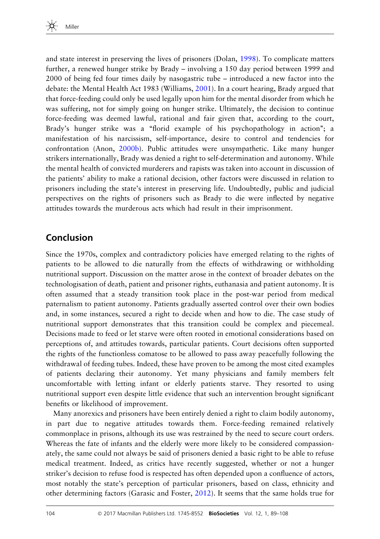and state interest in preserving the lives of prisoners (Dolan, [1998](#page-17-0)). To complicate matters further, a renewed hunger strike by Brady – involving a 150 day period between 1999 and 2000 of being fed four times daily by nasogastric tube – introduced a new factor into the debate: the Mental Health Act 1983 (Williams, [2001\)](#page-19-0). In a court hearing, Brady argued that that force-feeding could only be used legally upon him for the mental disorder from which he was suffering, not for simply going on hunger strike. Ultimately, the decision to continue force-feeding was deemed lawful, rational and fair given that, according to the court, Brady's hunger strike was a "florid example of his psychopathology in action"; a manifestation of his narcissism, self-importance, desire to control and tendencies for confrontation (Anon, [2000b\)](#page-16-0). Public attitudes were unsympathetic. Like many hunger strikers internationally, Brady was denied a right to self-determination and autonomy. While the mental health of convicted murderers and rapists was taken into account in discussion of the patients' ability to make a rational decision, other factors were discussed in relation to prisoners including the state's interest in preserving life. Undoubtedly, public and judicial perspectives on the rights of prisoners such as Brady to die were inflected by negative attitudes towards the murderous acts which had result in their imprisonment.

#### Conclusion

Since the 1970s, complex and contradictory policies have emerged relating to the rights of patients to be allowed to die naturally from the effects of withdrawing or withholding nutritional support. Discussion on the matter arose in the context of broader debates on the technologisation of death, patient and prisoner rights, euthanasia and patient autonomy. It is often assumed that a steady transition took place in the post-war period from medical paternalism to patient autonomy. Patients gradually asserted control over their own bodies and, in some instances, secured a right to decide when and how to die. The case study of nutritional support demonstrates that this transition could be complex and piecemeal. Decisions made to feed or let starve were often rooted in emotional considerations based on perceptions of, and attitudes towards, particular patients. Court decisions often supported the rights of the functionless comatose to be allowed to pass away peacefully following the withdrawal of feeding tubes. Indeed, these have proven to be among the most cited examples of patients declaring their autonomy. Yet many physicians and family members felt uncomfortable with letting infant or elderly patients starve. They resorted to using nutritional support even despite little evidence that such an intervention brought significant benefits or likelihood of improvement.

Many anorexics and prisoners have been entirely denied a right to claim bodily autonomy, in part due to negative attitudes towards them. Force-feeding remained relatively commonplace in prisons, although its use was restrained by the need to secure court orders. Whereas the fate of infants and the elderly were more likely to be considered compassionately, the same could not always be said of prisoners denied a basic right to be able to refuse medical treatment. Indeed, as critics have recently suggested, whether or not a hunger striker's decision to refuse food is respected has often depended upon a confluence of actors, most notably the state's perception of particular prisoners, based on class, ethnicity and other determining factors (Garasic and Foster, [2012\)](#page-17-0). It seems that the same holds true for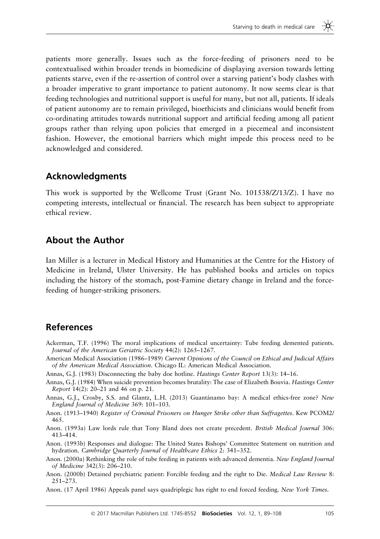<span id="page-16-0"></span>patients more generally. Issues such as the force-feeding of prisoners need to be contextualised within broader trends in biomedicine of displaying aversion towards letting patients starve, even if the re-assertion of control over a starving patient's body clashes with a broader imperative to grant importance to patient autonomy. It now seems clear is that feeding technologies and nutritional support is useful for many, but not all, patients. If ideals of patient autonomy are to remain privileged, bioethicists and clinicians would benefit from co-ordinating attitudes towards nutritional support and artificial feeding among all patient groups rather than relying upon policies that emerged in a piecemeal and inconsistent fashion. However, the emotional barriers which might impede this process need to be acknowledged and considered.

#### Acknowledgments

This work is supported by the Wellcome Trust (Grant No. 101538/Z/13/Z). I have no competing interests, intellectual or financial. The research has been subject to appropriate ethical review.

### About the Author

Ian Miller is a lecturer in Medical History and Humanities at the Centre for the History of Medicine in Ireland, Ulster University. He has published books and articles on topics including the history of the stomach, post-Famine dietary change in Ireland and the forcefeeding of hunger-striking prisoners.

### References

- Ackerman, T.F. (1996) The moral implications of medical uncertainty: Tube feeding demented patients. Journal of the American Geriatric Society 44(2): 1265–1267.
- American Medical Association (1986–1989) Current Opinions of the Council on Ethical and Judicial Affairs of the American Medical Association. Chicago IL: American Medical Association.
- Annas, G.J. (1983) Disconnecting the baby doe hotline. Hastings Center Report 13(3): 14–16.
- Annas, G.J. (1984) When suicide prevention becomes brutality: The case of Elizabeth Bouvia. Hastings Center Report 14(2): 20–21 and 46 on p. 21.
- Annas, G.J., Crosby, S.S. and Glantz, L.H. (2013) Guantánamo bay: A medical ethics-free zone? New England Journal of Medicine 369: 101–103.
- Anon. (1913–1940) Register of Criminal Prisoners on Hunger Strike other than Suffragettes. Kew PCOM2/ 465.
- Anon. (1993a) Law lords rule that Tony Bland does not create precedent. British Medical Journal 306: 413–414.
- Anon. (1993b) Responses and dialogue: The United States Bishops' Committee Statement on nutrition and hydration. Cambridge Quarterly Journal of Healthcare Ethics 2: 341–352.
- Anon. (2000a) Rethinking the role of tube feeding in patients with advanced dementia. New England Journal of Medicine 342(3): 206–210.
- Anon. (2000b) Detained psychiatric patient: Forcible feeding and the right to Die. Medical Law Review 8: 251–273.
- Anon. (17 April 1986) Appeals panel says quadriplegic has right to end forced feeding. New York Times.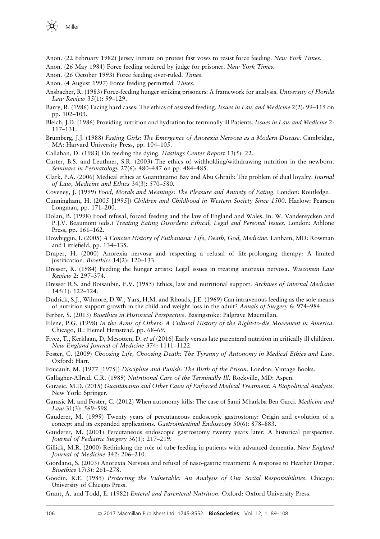- <span id="page-17-0"></span>Anon. (22 February 1982) Jersey Inmate on protest fast vows to resist force feeding. New York Times.
- Anon. (26 May 1984) Force feeding ordered by judge for prisoner. New York Times.
- Anon. (26 October 1993) Force feeding over-ruled. Times.
- Anon. (4 August 1997) Force feeding permitted. Times.
- Ansbacher, R. (1983) Force-feeding hunger striking prisoners: A framework for analysis. University of Florida Law Review 35(1): 99–129.
- Barry, R. (1986) Facing hard cases: The ethics of assisted feeding. Issues in Law and Medicine 2(2): 99–115 on pp. 102–103.
- Bleich, J.D. (1986) Providing nutrition and hydration for terminally ill Patients. Issues in Law and Medicine 2: 117–131.
- Brumberg, J.J. (1988) Fasting Girls: The Emergence of Anorexia Nervosa as a Modern Disease. Cambridge, MA: Harvard University Press, pp. 104–105.
- Callahan, D. (1983) On feeding the dying. Hastings Center Report 13(5): 22.
- Carter, B.S. and Leuthner, S.R. (2003) The ethics of withholding/withdrawing nutrition in the newborn. Seminars in Perinatology 27(6): 480–487 on pp. 484–485.
- Clark, P.A. (2006) Medical ethics at Guantánamo Bay and Abu Ghraib: The problem of dual loyalty. Journal of Law, Medicine and Ethics 34(3): 570–580.
- Coveney, J. (1999) Food, Morals and Meanings: The Pleasure and Anxiety of Eating. London: Routledge.
- Cunningham, H. (2005 [1995]) Children and Childhood in Western Society Since 1500. Harlow: Pearson Longman, pp. 171–200.
- Dolan, B. (1998) Food refusal, forced feeding and the law of England and Wales. In: W. Vandereycken and P.J.V. Beaumont (eds.) Treating Eating Disorders: Ethical, Legal and Personal Issues. London: Athlone Press, pp. 161–162.
- Dowbiggin, I. (2005) A Concise History of Euthanasia: Life, Death, God, Medicine. Lanham, MD: Rowman and Littlefield, pp. 134–135.
- Draper, H. (2000) Anorexia nervosa and respecting a refusal of life-prolonging therapy: A limited justification. Bioethics 14(2): 120–133.
- Dresser, R. (1984) Feeding the hunger artists: Legal issues in treating anorexia nervosa. Wisconsin Law Review 2: 297–374.
- Dresser R.S. and Boisaubin, E.V. (1985) Ethics, law and nutritional support. Archives of Internal Medicine 145(1): 122–124.
- Dudrick, S.J., Wilmore, D.W., Yars, H.M. and Rhoads, J.E. (1969) Can intravenous feeding as the sole means of nutrition support growth in the child and weight loss in the adult? Annals of Surgery 6: 974–984.
- Ferber, S. (2013) Bioethics in Historical Perspective. Basingstoke: Palgrave Macmillan.
- Filene, P.G. (1998) In the Arms of Others: A Cultural History of the Right-to-die Movement in America. Chicago, IL: Hemel Hemstead, pp. 68–69.
- Fivez, T., Kerklaan, D, Mesotten, D. et al (2016) Early versus late parenteral nutrition in critically ill children. New England Journal of Medicine 374: 1111–1122.
- Foster, C. (2009) Choosing Life, Choosing Death: The Tyranny of Autonomy in Medical Ethics and Law. Oxford: Hart.
- Foucault, M. (1977 [1975]) Discipline and Punish: The Birth of the Prison. London: Vintage Books.
- Gallagher-Allred, C.R. (1989) Nutritional Care of the Terminally Ill. Rockville, MD: Aspen.
- Garasic, M.D. (2015) Guantánamo and Other Cases of Enforced Medical Treatment: A Biopolitical Analysis. New York: Springer.
- Garasic M. and Foster, C. (2012) When autonomy kills: The case of Sami Mbarkba Ben Garci. Medicine and Law 31(3): 569–598.
- Gauderer, M. (1999) Twenty years of percutaneous endoscopic gastrostomy: Origin and evolution of a concept and its expanded applications. Gastrointestinal Endoscopy 50(6): 878–883.
- Gauderer, M. (2001) Percutaneous endoscopic gastrostomy twenty years later: A historical perspective. Journal of Pediatric Surgery 36(1): 217–219.
- Gillick, M.R. (2000) Rethinking the role of tube feeding in patients with advanced dementia. New England Journal of Medicine 342: 206–210.
- Giordano, S. (2003) Anorexia Nervosa and refusal of naso-gastric treatment: A response to Heather Draper. Bioethics 17(3): 261–278.
- Goodin, R.E. (1985) Protecting the Vulnerable: An Analysis of Our Social Responsibilities. Chicago: University of Chicago Press.
- Grant, A. and Todd, E. (1982) Enteral and Parenteral Nutrition. Oxford: Oxford University Press.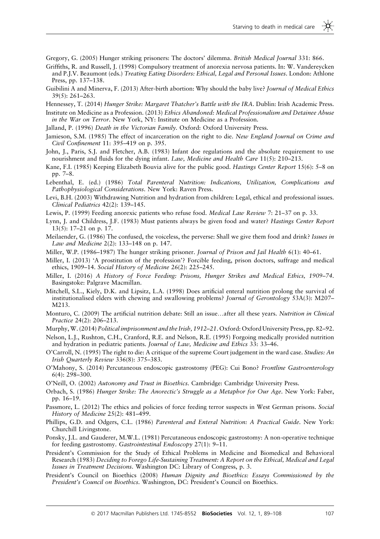<span id="page-18-0"></span>Gregory, G. (2005) Hunger striking prisoners: The doctors' dilemma. British Medical Journal 331: 866.

Griffiths, R. and Russell, J. (1998) Compulsory treatment of anorexia nervosa patients. In: W. Vandereycken and P.J.V. Beaumont (eds.) Treating Eating Disorders: Ethical, Legal and Personal Issues. London: Athlone Press, pp. 137–138.

Guibilini A and Minerva, F. (2013) After-birth abortion: Why should the baby live? Journal of Medical Ethics 39(5): 261–263.

Hennessey, T. (2014) Hunger Strike: Margaret Thatcher's Battle with the IRA. Dublin: Irish Academic Press.

Institute on Medicine as a Profession. (2013) Ethics Abandoned: Medical Professionalism and Detainee Abuse in the War on Terror. New York, NY: Institute on Medicine as a Profession.

Jalland, P. (1996) Death in the Victorian Family. Oxford: Oxford University Press.

Jamieson, S.M. (1985) The effect of incarceration on the right to die. New England Journal on Crime and Civil Confinement 11: 395–419 on p. 395.

John, J., Paris, S.J. and Fletcher, A.B. (1983) Infant doe regulations and the absolute requirement to use nourishment and fluids for the dying infant. Law, Medicine and Health Care 11(5): 210–213.

Kane, F.I. (1985) Keeping Elizabeth Bouvia alive for the public good. Hastings Center Report 15(6): 5–8 on pp. 7–8.

Lebenthal, E. (ed.) (1986) Total Parenteral Nutrition: Indications, Utilization, Complications and Pathophysiological Considerations. New York: Raven Press.

- Levi, B.H. (2003) Withdrawing Nutrition and hydration from children: Legal, ethical and professional issues. Clinical Pediatrics 42(2): 139–145.
- Lewis, P. (1999) Feeding anorexic patients who refuse food. Medical Law Review 7: 21–37 on p. 33.

Lynn, J. and Childress, J.F. (1983) Must patients always be given food and water? Hastings Center Report  $13(5)$ : 17–21 on p. 17.

- Meilaender, G. (1986) The confused, the voiceless, the perverse: Shall we give them food and drink? Issues in Law and Medicine 2(2): 133–148 on p. 147.
- Miller, W.P. (1986–1987) The hunger striking prisoner. Journal of Prison and Jail Health 6(1): 40–61.

Miller, I. (2013) 'A prostitution of the profession'? Forcible feeding, prison doctors, suffrage and medical ethics, 1909–14. Social History of Medicine 26(2): 225–245.

- Miller, I. (2016) A History of Force Feeding: Prisons, Hunger Strikes and Medical Ethics, 1909–74. Basingstoke: Palgrave Macmillan.
- Mitchell, S.L., Kiely, D.K. and Lipsitz, L.A. (1998) Does artificial enteral nutrition prolong the survival of institutionalised elders with chewing and swallowing problems? Journal of Gerontology 53A(3): M207– M213.

Monturo, C. (2009) The artificial nutrition debate: Still an issue...after all these years. Nutrition in Clinical Practice 24(2): 206–213.

Murphy, W. (2014) Political imprisonment and the Irish, 1912–21. Oxford: Oxford University Press, pp. 82–92.

- Nelson, L.J., Rushton, C.H., Cranford, R.E. and Nelson, R.E. (1995) Forgoing medically provided nutrition and hydration in pediatric patients. Journal of Law, Medicine and Ethics 33: 33-46.
- O'Carroll, N. (1995) The right to die: A critique of the supreme Court judgement in the ward case. Studies: An Irish Quarterly Review 336(8): 375–383.
- O'Mahony, S. (2014) Percutaneous endoscopic gastrostomy (PEG): Cui Bono? Frontline Gastroenterology 6(4): 298–300.
- O'Neill, O. (2002) Autonomy and Trust in Bioethics. Cambridge: Cambridge University Press.
- Orbach, S. (1986) Hunger Strike: The Anorectic's Struggle as a Metaphor for Our Age. New York: Faber, pp. 16–19.

Passmore, L. (2012) The ethics and policies of force feeding terror suspects in West German prisons. Social History of Medicine 25(2): 481–499.

Phillips, G.D. and Odgers, C.L. (1986) Parenteral and Enteral Nutrition: A Practical Guide. New York: Churchill Livingstone.

Ponsky, J.L. and Gauderer, M.W.L. (1981) Percutaneous endoscopic gastrostomy: A non-operative technique for feeding gastrostomy. Gastrointestinal Endoscopy 27(1): 9–11.

- President's Commission for the Study of Ethical Problems in Medicine and Biomedical and Behavioral Research (1983) Deciding to Forego Life-Sustaining Treatment: A Report on the Ethical, Medical and Legal Issues in Treatment Decisions. Washington DC: Library of Congress, p. 3.
- President's Council on Bioethics (2008) Human Dignity and Bioethics: Essays Commissioned by the President's Council on Bioethics. Washington, DC: President's Council on Bioethics.